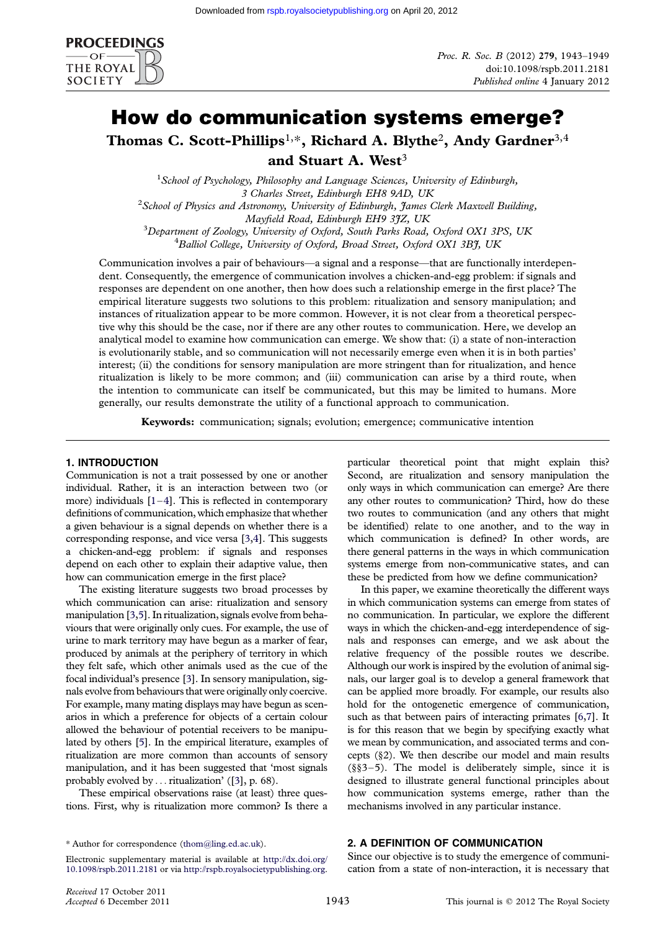

# How do communication systems emerge?

Thomas C. Scott-Phillips<sup>1,\*</sup>, Richard A. Blythe<sup>2</sup>, Andy Gardner<sup>3,4</sup> and Stuart A. West $3$ 

<sup>1</sup>School of Psychology, Philosophy and Language Sciences, University of Edinburgh, 3 Charles Street, Edinburgh EH8 9AD, UK<br><sup>2</sup>School of Physics and Astronomy, University of Edinburgh, James Clerk Maxwell Building, Mayfield Road, Edinburgh EH9 3JZ, UK  ${}^{3}$ Department of Zoology, University of Oxford, South Parks Road, Oxford OX1 3PS, UK

<sup>4</sup> Balliol College, University of Oxford, Broad Street, Oxford OX1 3BJ, UK

Communication involves a pair of behaviours—a signal and a response—that are functionally interdependent. Consequently, the emergence of communication involves a chicken-and-egg problem: if signals and responses are dependent on one another, then how does such a relationship emerge in the first place? The empirical literature suggests two solutions to this problem: ritualization and sensory manipulation; and instances of ritualization appear to be more common. However, it is not clear from a theoretical perspective why this should be the case, nor if there are any other routes to communication. Here, we develop an analytical model to examine how communication can emerge. We show that: (i) a state of non-interaction is evolutionarily stable, and so communication will not necessarily emerge even when it is in both parties' interest; (ii) the conditions for sensory manipulation are more stringent than for ritualization, and hence ritualization is likely to be more common; and (iii) communication can arise by a third route, when the intention to communicate can itself be communicated, but this may be limited to humans. More generally, our results demonstrate the utility of a functional approach to communication.

Keywords: communication; signals; evolution; emergence; communicative intention

### 1. INTRODUCTION

Communication is not a trait possessed by one or another individual. Rather, it is an interaction between two (or more) individuals [\[1](#page-6-0)-[4\]](#page-6-0). This is reflected in contemporary definitions of communication, which emphasize that whether a given behaviour is a signal depends on whether there is a corresponding response, and vice versa [\[3,4](#page-6-0)]. This suggests a chicken-and-egg problem: if signals and responses depend on each other to explain their adaptive value, then how can communication emerge in the first place?

The existing literature suggests two broad processes by which communication can arise: ritualization and sensory manipulation [\[3,5](#page-6-0)]. In ritualization, signals evolve from behaviours that were originally only cues. For example, the use of urine to mark territory may have begun as a marker of fear, produced by animals at the periphery of territory in which they felt safe, which other animals used as the cue of the focal individual's presence [\[3](#page-6-0)]. In sensory manipulation, signals evolve from behaviours that were originally only coercive. For example, many mating displays may have begun as scenarios in which a preference for objects of a certain colour allowed the behaviour of potential receivers to be manipulated by others [[5\]](#page-6-0). In the empirical literature, examples of ritualization are more common than accounts of sensory manipulation, and it has been suggested that 'most signals probably evolved by ... ritualization' ([\[3](#page-6-0)], p. 68).

These empirical observations raise (at least) three questions. First, why is ritualization more common? Is there a

\* Author for correspondence ([thom@ling.ed.ac.uk\)](mailto:thom@ling.ed.ac.uk).

Electronic supplementary material is available at [http://dx.doi.org/](http://dx.doi.org/10.1098/rspb.2011.2181) [10.1098/rspb.2011.2181](http://dx.doi.org/10.1098/rspb.2011.2181) or via <http://rspb.royalsocietypublishing.org>. particular theoretical point that might explain this? Second, are ritualization and sensory manipulation the only ways in which communication can emerge? Are there any other routes to communication? Third, how do these two routes to communication (and any others that might be identified) relate to one another, and to the way in which communication is defined? In other words, are there general patterns in the ways in which communication systems emerge from non-communicative states, and can these be predicted from how we define communication?

In this paper, we examine theoretically the different ways in which communication systems can emerge from states of no communication. In particular, we explore the different ways in which the chicken-and-egg interdependence of signals and responses can emerge, and we ask about the relative frequency of the possible routes we describe. Although our work is inspired by the evolution of animal signals, our larger goal is to develop a general framework that can be applied more broadly. For example, our results also hold for the ontogenetic emergence of communication, such as that between pairs of interacting primates [\[6,7\]](#page-6-0). It is for this reason that we begin by specifying exactly what we mean by communication, and associated terms and concepts (§2). We then describe our model and main results (§§3–5). The model is deliberately simple, since it is designed to illustrate general functional principles about how communication systems emerge, rather than the mechanisms involved in any particular instance.

### 2. A DEFINITION OF COMMUNICATION

Since our objective is to study the emergence of communication from a state of non-interaction, it is necessary that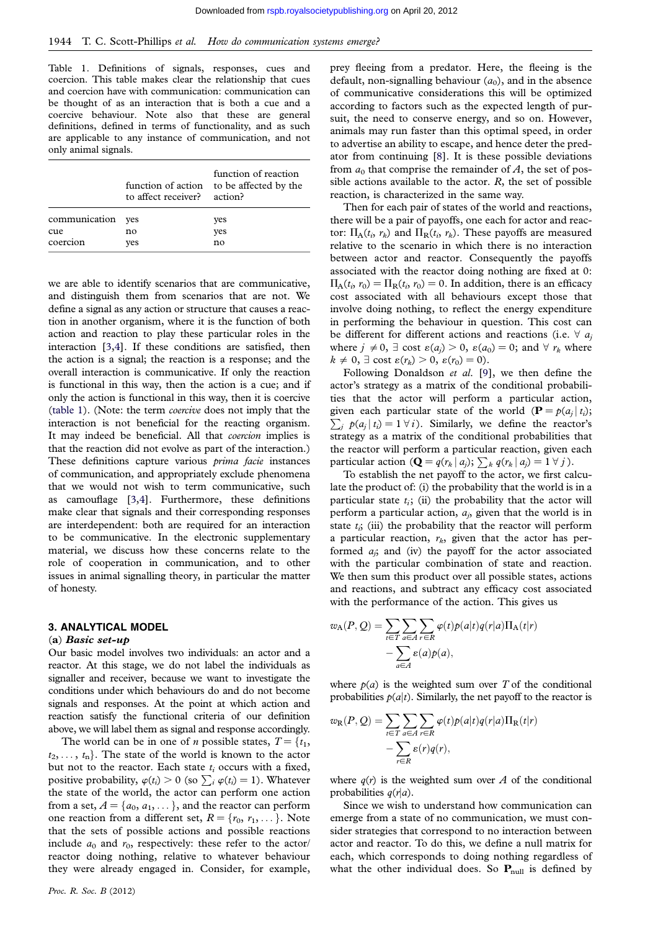Table 1. Definitions of signals, responses, cues and coercion. This table makes clear the relationship that cues and coercion have with communication: communication can be thought of as an interaction that is both a cue and a coercive behaviour. Note also that these are general definitions, defined in terms of functionality, and as such are applicable to any instance of communication, and not only animal signals.

|               | to affect receiver? action? | function of reaction<br>function of action to be affected by the |
|---------------|-----------------------------|------------------------------------------------------------------|
| communication | ves                         | yes                                                              |
| cue           | no                          | yes                                                              |
| coercion      | ves                         | no                                                               |

we are able to identify scenarios that are communicative, and distinguish them from scenarios that are not. We define a signal as any action or structure that causes a reaction in another organism, where it is the function of both action and reaction to play these particular roles in the interaction [[3,4\]](#page-6-0). If these conditions are satisfied, then the action is a signal; the reaction is a response; and the overall interaction is communicative. If only the reaction is functional in this way, then the action is a cue; and if only the action is functional in this way, then it is coercive (table 1). (Note: the term coercive does not imply that the interaction is not beneficial for the reacting organism. It may indeed be beneficial. All that coercion implies is that the reaction did not evolve as part of the interaction.) These definitions capture various *prima facie* instances of communication, and appropriately exclude phenomena that we would not wish to term communicative, such as camouflage [\[3,4](#page-6-0)]. Furthermore, these definitions make clear that signals and their corresponding responses are interdependent: both are required for an interaction to be communicative. In the electronic supplementary material, we discuss how these concerns relate to the role of cooperation in communication, and to other issues in animal signalling theory, in particular the matter of honesty.

#### 3. ANALYTICAL MODEL

#### (a) Basic set-up

Our basic model involves two individuals: an actor and a reactor. At this stage, we do not label the individuals as signaller and receiver, because we want to investigate the conditions under which behaviours do and do not become signals and responses. At the point at which action and reaction satisfy the functional criteria of our definition above, we will label them as signal and response accordingly.

The world can be in one of *n* possible states,  $T = \{t_1, t_2, \ldots, t_n\}$  $t_2, \ldots, t_n$ . The state of the world is known to the actor but not to the reactor. Each state  $t_i$  occurs with a fixed, positive probability,  $\varphi(t_i) > 0$  (so  $\sum_i \varphi(t_i) = 1$ ). Whatever the state of the world, the actor can perform one action from a set,  $A = \{a_0, a_1, \dots\}$ , and the reactor can perform one reaction from a different set,  $R = \{r_0, r_1, \dots\}$ . Note that the sets of possible actions and possible reactions include  $a_0$  and  $r_0$ , respectively: these refer to the actor/ reactor doing nothing, relative to whatever behaviour they were already engaged in. Consider, for example,

of communicative considerations this will be optimized according to factors such as the expected length of pursuit, the need to conserve energy, and so on. However, animals may run faster than this optimal speed, in order to advertise an ability to escape, and hence deter the predator from continuing [\[8](#page-6-0)]. It is these possible deviations from  $a_0$  that comprise the remainder of A, the set of possible actions available to the actor.  $R$ , the set of possible reaction, is characterized in the same way. Then for each pair of states of the world and reactions,

there will be a pair of payoffs, one each for actor and reactor:  $\Pi_{A}(t_i, r_k)$  and  $\Pi_{R}(t_i, r_k)$ . These payoffs are measured relative to the scenario in which there is no interaction between actor and reactor. Consequently the payoffs associated with the reactor doing nothing are fixed at 0:  $\Pi_{A}(t_i, r_0) = \Pi_{R}(t_i, r_0) = 0$ . In addition, there is an efficacy cost associated with all behaviours except those that involve doing nothing, to reflect the energy expenditure in performing the behaviour in question. This cost can be different for different actions and reactions (i.e.  $\forall$  a<sub>i</sub> where  $j \neq 0$ ,  $\exists$  cost  $\varepsilon(a_j) > 0$ ,  $\varepsilon(a_0) = 0$ ; and  $\forall r_k$  where  $k \neq 0, \exists \text{ cost } \varepsilon(r_k) > 0, \, \varepsilon(r_0) = 0).$ 

prey fleeing from a predator. Here, the fleeing is the default, non-signalling behaviour  $(a_0)$ , and in the absence

Following Donaldson et al. [[9](#page-6-0)], we then define the actor's strategy as a matrix of the conditional probabilities that the actor will perform a particular action, given each particular state of the world  $(\mathbf{P} = p(a_j | t_i))$ ;<br> $\sum_{n=1}^{\infty} p(a_i | t_i) = 1 \forall i$ ; Similarly, we define the resetor's  $\sum_i p(a_i | t_i) = 1 \forall i$ . Similarly, we define the reactor's strategy as a matrix of the conditional probabilities that the reactor will perform a particular reaction, given each particular action  $(\mathbf{Q} = q(r_k | a_i); \sum_k q(r_k | a_i) = 1 \forall j$ .

To establish the net payoff to the actor, we first calculate the product of: (i) the probability that the world is in a particular state  $t_i$ ; (ii) the probability that the actor will perform a particular action,  $a_j$ , given that the world is in state  $t_i$ ; (iii) the probability that the reactor will perform a particular reaction,  $r_k$ , given that the actor has performed  $a_j$ ; and (iv) the payoff for the actor associated with the particular combination of state and reaction. We then sum this product over all possible states, actions and reactions, and subtract any efficacy cost associated with the performance of the action. This gives us

$$
w_{A}(P,Q) = \sum_{t \in T} \sum_{a \in A} \sum_{r \in R} \varphi(t) p(a|t) q(r|a) \Pi_{A}(t|r)
$$

$$
- \sum_{a \in A} \varepsilon(a) p(a),
$$

where  $p(a)$  is the weighted sum over T of the conditional probabilities  $p(a|t)$ . Similarly, the net payoff to the reactor is

$$
w_{R}(P,Q) = \sum_{r \in T} \sum_{a \in A} \sum_{r \in R} \varphi(t) p(a|t) q(r|a) \Pi_{R}(t|r)
$$

$$
- \sum_{r \in R} \varepsilon(r) q(r),
$$

where  $q(r)$  is the weighted sum over A of the conditional probabilities  $q(r|a)$ .

Since we wish to understand how communication can emerge from a state of no communication, we must consider strategies that correspond to no interaction between actor and reactor. To do this, we define a null matrix for each, which corresponds to doing nothing regardless of what the other individual does. So  $P_{null}$  is defined by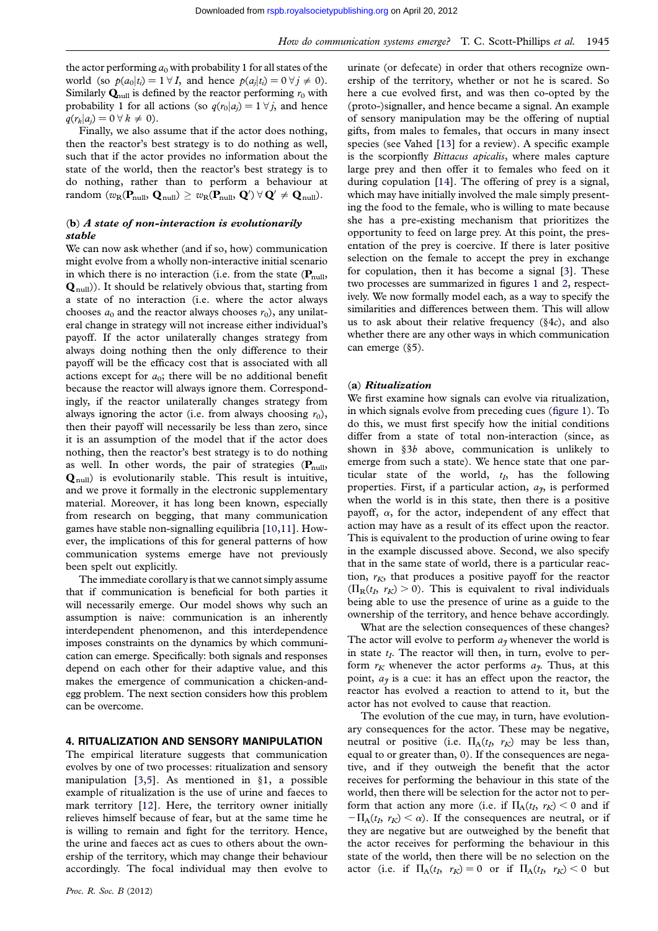the actor performing  $a_0$  with probability 1 for all states of the world (so  $p(a_0|t_i) = 1 \forall I$ , and hence  $p(a_j|t_i) = 0 \forall j \neq 0$ ). Similarly  $\mathbf{Q}_{\text{null}}$  is defined by the reactor performing  $r_0$  with probability 1 for all actions (so  $q(r_0|a_i) = 1 \forall j$ , and hence  $q(r_k|a_i) = 0 \forall k \neq 0$ .

Finally, we also assume that if the actor does nothing, then the reactor's best strategy is to do nothing as well, such that if the actor provides no information about the state of the world, then the reactor's best strategy is to do nothing, rather than to perform a behaviour at random  $(w_{\rm R}({\bf P}_{\rm null},\,{\bf Q}_{\rm null}) \geq w_{\rm R}({\bf P}_{\rm null},\,{\bf Q}')$   $\forall$   ${\bf Q}' \neq {\bf Q}_{\rm null}$ ).

### (b) A state of non-interaction is evolutionarily stable

We can now ask whether (and if so, how) communication might evolve from a wholly non-interactive initial scenario in which there is no interaction (i.e. from the state  $(P_{\text{null}},$  $Q_{\text{null}}$ ). It should be relatively obvious that, starting from a state of no interaction (i.e. where the actor always chooses  $a_0$  and the reactor always chooses  $r_0$ ), any unilateral change in strategy will not increase either individual's payoff. If the actor unilaterally changes strategy from always doing nothing then the only difference to their payoff will be the efficacy cost that is associated with all actions except for  $a_0$ ; there will be no additional benefit because the reactor will always ignore them. Correspondingly, if the reactor unilaterally changes strategy from always ignoring the actor (i.e. from always choosing  $r_0$ ), then their payoff will necessarily be less than zero, since it is an assumption of the model that if the actor does nothing, then the reactor's best strategy is to do nothing as well. In other words, the pair of strategies  $(P_{null},$  $Q_{\text{null}}$ ) is evolutionarily stable. This result is intuitive, and we prove it formally in the electronic supplementary material. Moreover, it has long been known, especially from research on begging, that many communication games have stable non-signalling equilibria [[10](#page-6-0),[11](#page-6-0)]. However, the implications of this for general patterns of how communication systems emerge have not previously been spelt out explicitly.

The immediate corollary is that we cannot simply assume that if communication is beneficial for both parties it will necessarily emerge. Our model shows why such an assumption is naive: communication is an inherently interdependent phenomenon, and this interdependence imposes constraints on the dynamics by which communication can emerge. Specifically: both signals and responses depend on each other for their adaptive value, and this makes the emergence of communication a chicken-andegg problem. The next section considers how this problem can be overcome.

#### 4. RITUALIZATION AND SENSORY MANIPULATION

The empirical literature suggests that communication evolves by one of two processes: ritualization and sensory manipulation [[3,5\]](#page-6-0). As mentioned in §1, a possible example of ritualization is the use of urine and faeces to mark territory [\[12](#page-6-0)]. Here, the territory owner initially relieves himself because of fear, but at the same time he is willing to remain and fight for the territory. Hence, the urine and faeces act as cues to others about the ownership of the territory, which may change their behaviour accordingly. The focal individual may then evolve to urinate (or defecate) in order that others recognize ownership of the territory, whether or not he is scared. So here a cue evolved first, and was then co-opted by the (proto-)signaller, and hence became a signal. An example of sensory manipulation may be the offering of nuptial gifts, from males to females, that occurs in many insect species (see Vahed [\[13\]](#page-6-0) for a review). A specific example is the scorpionfly Bittacus apicalis, where males capture large prey and then offer it to females who feed on it during copulation [[14](#page-6-0)]. The offering of prey is a signal, which may have initially involved the male simply presenting the food to the female, who is willing to mate because she has a pre-existing mechanism that prioritizes the opportunity to feed on large prey. At this point, the presentation of the prey is coercive. If there is later positive selection on the female to accept the prey in exchange for copulation, then it has become a signal [\[3](#page-6-0)]. These two processes are summarized in figures [1](#page-3-0) and [2,](#page-4-0) respectively. We now formally model each, as a way to specify the similarities and differences between them. This will allow us to ask about their relative frequency  $(\S 4c)$ , and also whether there are any other ways in which communication can emerge (§5).

#### (a) Ritualization

We first examine how signals can evolve via ritualization, in which signals evolve from preceding cues ([figure 1](#page-3-0)). To do this, we must first specify how the initial conditions differ from a state of total non-interaction (since, as shown in §3b above, communication is unlikely to emerge from such a state). We hence state that one particular state of the world,  $t<sub>I</sub>$ , has the following properties. First, if a particular action,  $a_{\gamma}$ , is performed when the world is in this state, then there is a positive payoff,  $\alpha$ , for the actor, independent of any effect that action may have as a result of its effect upon the reactor. This is equivalent to the production of urine owing to fear in the example discussed above. Second, we also specify that in the same state of world, there is a particular reaction,  $r<sub>K</sub>$ , that produces a positive payoff for the reactor  $(\prod_{\mathbb{R}}(t_i, r_k) > 0)$ . This is equivalent to rival individuals being able to use the presence of urine as a guide to the ownership of the territory, and hence behave accordingly.

What are the selection consequences of these changes? The actor will evolve to perform  $a<sub>j</sub>$  whenever the world is in state  $t_I$ . The reactor will then, in turn, evolve to perform  $r_K$  whenever the actor performs  $a_{\gamma}$ . Thus, at this point,  $a_{\gamma}$  is a cue: it has an effect upon the reactor, the reactor has evolved a reaction to attend to it, but the actor has not evolved to cause that reaction.

The evolution of the cue may, in turn, have evolutionary consequences for the actor. These may be negative, neutral or positive (i.e.  $\Pi_A(t_I, r_K)$  may be less than, equal to or greater than, 0). If the consequences are negative, and if they outweigh the benefit that the actor receives for performing the behaviour in this state of the world, then there will be selection for the actor not to perform that action any more (i.e. if  $\Pi_A(t_I, r_K) < 0$  and if  $-\Pi_A(t_I, r_K) < \alpha$ ). If the consequences are neutral, or if they are negative but are outweighed by the benefit that the actor receives for performing the behaviour in this state of the world, then there will be no selection on the actor (i.e. if  $\Pi_A(t_I, r_K) = 0$  or if  $\Pi_A(t_I, r_K) < 0$  but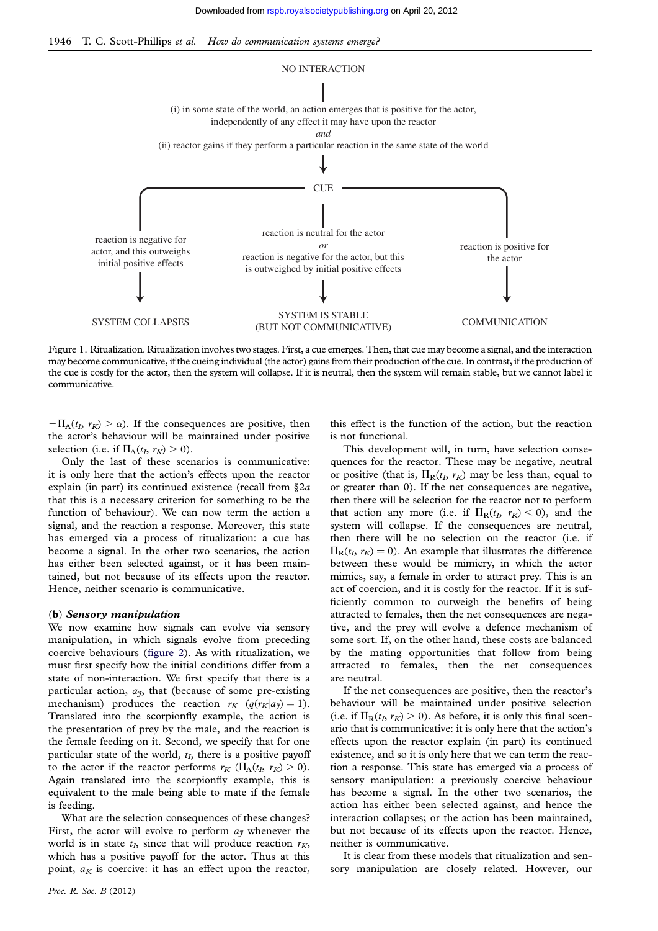<span id="page-3-0"></span>



Figure 1. Ritualization. Ritualization involves two stages. First, a cue emerges. Then, that cue may become a signal, and the interaction may become communicative, if the cueing individual (the actor) gains from their production of the cue. In contrast, if the production of the cue is costly for the actor, then the system will collapse. If it is neutral, then the system will remain stable, but we cannot label it communicative.

 $-\Pi_A(t_I, r_K) > \alpha$ ). If the consequences are positive, then the actor's behaviour will be maintained under positive selection (i.e. if  $\Pi_A(t_I, r_K) > 0$ ).

Only the last of these scenarios is communicative: it is only here that the action's effects upon the reactor explain (in part) its continued existence (recall from §2a that this is a necessary criterion for something to be the function of behaviour). We can now term the action a signal, and the reaction a response. Moreover, this state has emerged via a process of ritualization: a cue has become a signal. In the other two scenarios, the action has either been selected against, or it has been maintained, but not because of its effects upon the reactor. Hence, neither scenario is communicative.

#### (b) Sensory manipulation

We now examine how signals can evolve via sensory manipulation, in which signals evolve from preceding coercive behaviours [\(figure 2](#page-4-0)). As with ritualization, we must first specify how the initial conditions differ from a state of non-interaction. We first specify that there is a particular action,  $a_{\gamma}$ , that (because of some pre-existing mechanism) produces the reaction  $r_K$  ( $q(r_K|a_7) = 1$ ). Translated into the scorpionfly example, the action is the presentation of prey by the male, and the reaction is the female feeding on it. Second, we specify that for one particular state of the world,  $t_I$ , there is a positive payoff to the actor if the reactor performs  $r_K$  ( $\Pi_A(t_I, r_K) > 0$ ). Again translated into the scorpionfly example, this is equivalent to the male being able to mate if the female is feeding.

What are the selection consequences of these changes? First, the actor will evolve to perform  $a_{\gamma}$  whenever the world is in state  $t_I$ , since that will produce reaction  $r_K$ , which has a positive payoff for the actor. Thus at this point,  $a<sub>K</sub>$  is coercive: it has an effect upon the reactor,

this effect is the function of the action, but the reaction is not functional.

This development will, in turn, have selection consequences for the reactor. These may be negative, neutral or positive (that is,  $\Pi_R(t_I, r_K)$  may be less than, equal to or greater than 0). If the net consequences are negative, then there will be selection for the reactor not to perform that action any more (i.e. if  $\Pi_R(t_I, r_K) < 0$ ), and the system will collapse. If the consequences are neutral, then there will be no selection on the reactor (i.e. if  $\Pi_R(t_l, r_K) = 0$ . An example that illustrates the difference between these would be mimicry, in which the actor mimics, say, a female in order to attract prey. This is an act of coercion, and it is costly for the reactor. If it is sufficiently common to outweigh the benefits of being attracted to females, then the net consequences are negative, and the prey will evolve a defence mechanism of some sort. If, on the other hand, these costs are balanced by the mating opportunities that follow from being attracted to females, then the net consequences are neutral.

If the net consequences are positive, then the reactor's behaviour will be maintained under positive selection (i.e. if  $\Pi_R(t_I, r_K) > 0$ ). As before, it is only this final scenario that is communicative: it is only here that the action's effects upon the reactor explain (in part) its continued existence, and so it is only here that we can term the reaction a response. This state has emerged via a process of sensory manipulation: a previously coercive behaviour has become a signal. In the other two scenarios, the action has either been selected against, and hence the interaction collapses; or the action has been maintained, but not because of its effects upon the reactor. Hence, neither is communicative.

It is clear from these models that ritualization and sensory manipulation are closely related. However, our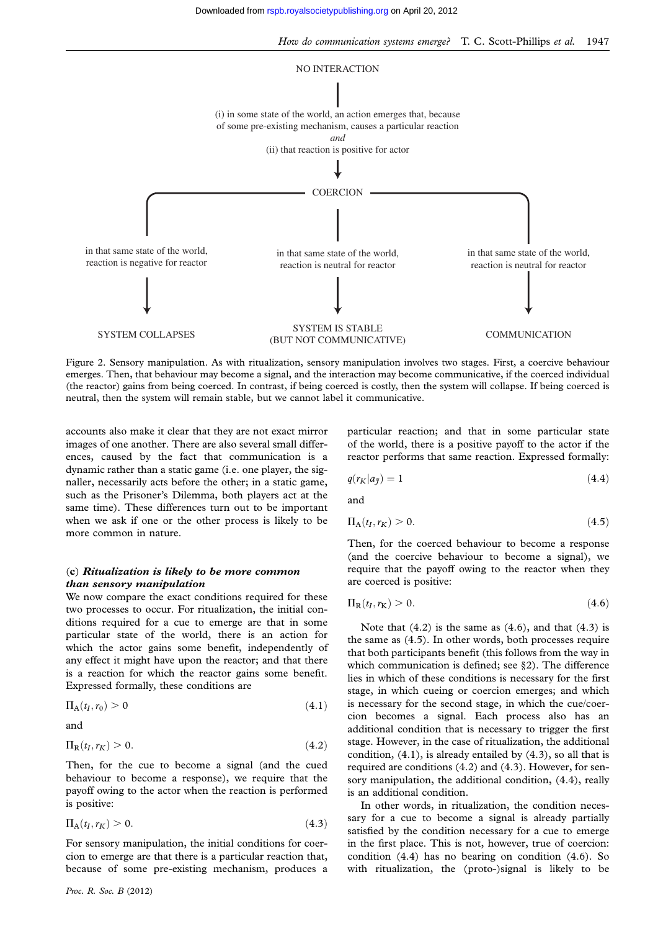<span id="page-4-0"></span>

Figure 2. Sensory manipulation. As with ritualization, sensory manipulation involves two stages. First, a coercive behaviour emerges. Then, that behaviour may become a signal, and the interaction may become communicative, if the coerced individual (the reactor) gains from being coerced. In contrast, if being coerced is costly, then the system will collapse. If being coerced is neutral, then the system will remain stable, but we cannot label it communicative.

accounts also make it clear that they are not exact mirror images of one another. There are also several small differences, caused by the fact that communication is a dynamic rather than a static game (i.e. one player, the signaller, necessarily acts before the other; in a static game, such as the Prisoner's Dilemma, both players act at the same time). These differences turn out to be important when we ask if one or the other process is likely to be more common in nature.

### (c) Ritualization is likely to be more common than sensory manipulation

We now compare the exact conditions required for these two processes to occur. For ritualization, the initial conditions required for a cue to emerge are that in some particular state of the world, there is an action for which the actor gains some benefit, independently of any effect it might have upon the reactor; and that there is a reaction for which the reactor gains some benefit. Expressed formally, these conditions are

$$
\Pi_{\mathcal{A}}(t_{I},r_{0})>0\tag{4.1}
$$

and

$$
\Pi_{\mathcal{R}}(t_I, r_K) > 0. \tag{4.2}
$$

Then, for the cue to become a signal (and the cued behaviour to become a response), we require that the payoff owing to the actor when the reaction is performed is positive:

$$
\Pi_{\mathcal{A}}(t_I, r_K) > 0. \tag{4.3}
$$

For sensory manipulation, the initial conditions for coercion to emerge are that there is a particular reaction that, because of some pre-existing mechanism, produces a

particular reaction; and that in some particular state of the world, there is a positive payoff to the actor if the reactor performs that same reaction. Expressed formally:

$$
q(r_K|a_{\tilde{J}}) = 1 \tag{4.4}
$$

and

$$
\Pi_{\mathcal{A}}(t_I, r_K) > 0. \tag{4.5}
$$

Then, for the coerced behaviour to become a response (and the coercive behaviour to become a signal), we require that the payoff owing to the reactor when they are coerced is positive:

$$
\Pi_{\mathcal{R}}(t_I, r_{\mathcal{K}}) > 0. \tag{4.6}
$$

Note that  $(4.2)$  is the same as  $(4.6)$ , and that  $(4.3)$  is the same as (4.5). In other words, both processes require that both participants benefit (this follows from the way in which communication is defined; see §2). The difference lies in which of these conditions is necessary for the first stage, in which cueing or coercion emerges; and which is necessary for the second stage, in which the cue/coercion becomes a signal. Each process also has an additional condition that is necessary to trigger the first stage. However, in the case of ritualization, the additional condition,  $(4.1)$ , is already entailed by  $(4.3)$ , so all that is required are conditions (4.2) and (4.3). However, for sensory manipulation, the additional condition, (4.4), really is an additional condition.

In other words, in ritualization, the condition necessary for a cue to become a signal is already partially satisfied by the condition necessary for a cue to emerge in the first place. This is not, however, true of coercion: condition (4.4) has no bearing on condition (4.6). So with ritualization, the (proto-)signal is likely to be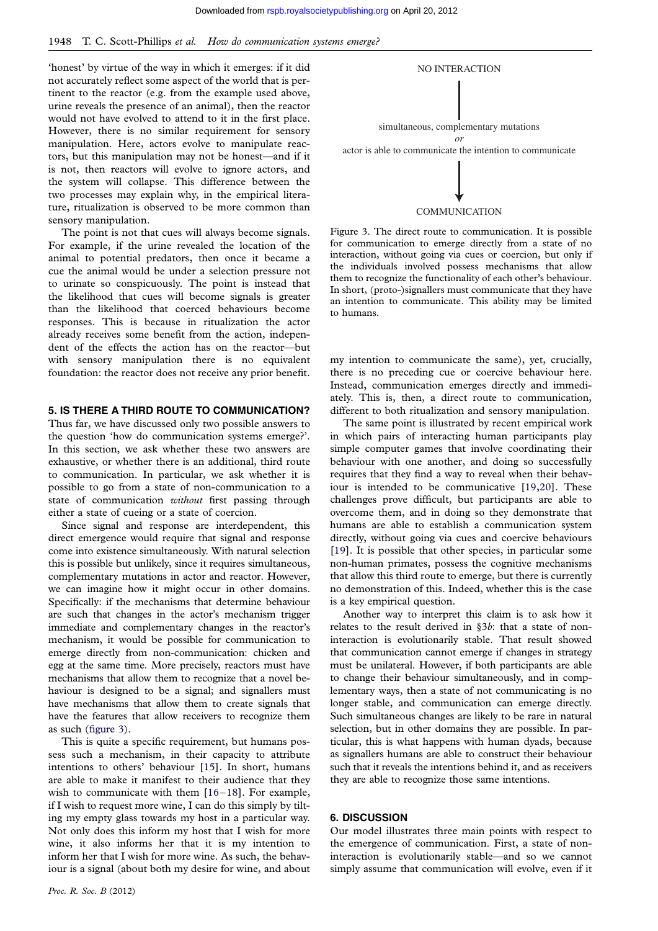'honest' by virtue of the way in which it emerges: if it did not accurately reflect some aspect of the world that is pertinent to the reactor (e.g. from the example used above, urine reveals the presence of an animal), then the reactor would not have evolved to attend to it in the first place. However, there is no similar requirement for sensory manipulation. Here, actors evolve to manipulate reactors, but this manipulation may not be honest—and if it is not, then reactors will evolve to ignore actors, and the system will collapse. This difference between the two processes may explain why, in the empirical literature, ritualization is observed to be more common than sensory manipulation.

The point is not that cues will always become signals. For example, if the urine revealed the location of the animal to potential predators, then once it became a cue the animal would be under a selection pressure not to urinate so conspicuously. The point is instead that the likelihood that cues will become signals is greater than the likelihood that coerced behaviours become responses. This is because in ritualization the actor already receives some benefit from the action, independent of the effects the action has on the reactor—but with sensory manipulation there is no equivalent foundation: the reactor does not receive any prior benefit.

### 5. IS THERE A THIRD ROUTE TO COMMUNICATION?

Thus far, we have discussed only two possible answers to the question 'how do communication systems emerge?'. In this section, we ask whether these two answers are exhaustive, or whether there is an additional, third route to communication. In particular, we ask whether it is possible to go from a state of non-communication to a state of communication without first passing through either a state of cueing or a state of coercion.

Since signal and response are interdependent, this direct emergence would require that signal and response come into existence simultaneously. With natural selection this is possible but unlikely, since it requires simultaneous, complementary mutations in actor and reactor. However, we can imagine how it might occur in other domains. Specifically: if the mechanisms that determine behaviour are such that changes in the actor's mechanism trigger immediate and complementary changes in the reactor's mechanism, it would be possible for communication to emerge directly from non-communication: chicken and egg at the same time. More precisely, reactors must have mechanisms that allow them to recognize that a novel behaviour is designed to be a signal; and signallers must have mechanisms that allow them to create signals that have the features that allow receivers to recognize them as such (figure 3).

This is quite a specific requirement, but humans possess such a mechanism, in their capacity to attribute intentions to others' behaviour [\[15\]](#page-6-0). In short, humans are able to make it manifest to their audience that they wish to communicate with them [[16](#page-6-0)–[18](#page-6-0)]. For example, if I wish to request more wine, I can do this simply by tilting my empty glass towards my host in a particular way. Not only does this inform my host that I wish for more wine, it also informs her that it is my intention to inform her that I wish for more wine. As such, the behaviour is a signal (about both my desire for wine, and about



Figure 3. The direct route to communication. It is possible for communication to emerge directly from a state of no interaction, without going via cues or coercion, but only if the individuals involved possess mechanisms that allow them to recognize the functionality of each other's behaviour. In short, (proto-)signallers must communicate that they have an intention to communicate. This ability may be limited to humans.

my intention to communicate the same), yet, crucially, there is no preceding cue or coercive behaviour here. Instead, communication emerges directly and immediately. This is, then, a direct route to communication, different to both ritualization and sensory manipulation.

The same point is illustrated by recent empirical work in which pairs of interacting human participants play simple computer games that involve coordinating their behaviour with one another, and doing so successfully requires that they find a way to reveal when their behaviour is intended to be communicative [\[19,20\]](#page-6-0). These challenges prove difficult, but participants are able to overcome them, and in doing so they demonstrate that humans are able to establish a communication system directly, without going via cues and coercive behaviours [\[19\]](#page-6-0). It is possible that other species, in particular some non-human primates, possess the cognitive mechanisms that allow this third route to emerge, but there is currently no demonstration of this. Indeed, whether this is the case is a key empirical question.

Another way to interpret this claim is to ask how it relates to the result derived in §3b: that a state of noninteraction is evolutionarily stable. That result showed that communication cannot emerge if changes in strategy must be unilateral. However, if both participants are able to change their behaviour simultaneously, and in complementary ways, then a state of not communicating is no longer stable, and communication can emerge directly. Such simultaneous changes are likely to be rare in natural selection, but in other domains they are possible. In particular, this is what happens with human dyads, because as signallers humans are able to construct their behaviour such that it reveals the intentions behind it, and as receivers they are able to recognize those same intentions.

#### 6. DISCUSSION

Our model illustrates three main points with respect to the emergence of communication. First, a state of noninteraction is evolutionarily stable—and so we cannot simply assume that communication will evolve, even if it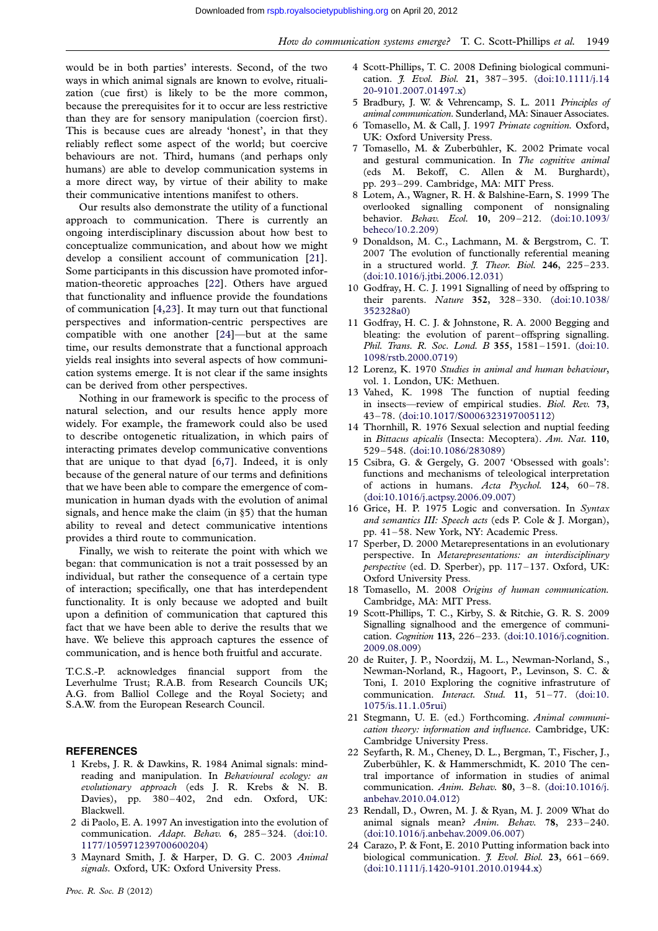<span id="page-6-0"></span>would be in both parties' interests. Second, of the two ways in which animal signals are known to evolve, ritualization (cue first) is likely to be the more common, because the prerequisites for it to occur are less restrictive than they are for sensory manipulation (coercion first). This is because cues are already 'honest', in that they reliably reflect some aspect of the world; but coercive behaviours are not. Third, humans (and perhaps only humans) are able to develop communication systems in a more direct way, by virtue of their ability to make their communicative intentions manifest to others.

Our results also demonstrate the utility of a functional approach to communication. There is currently an ongoing interdisciplinary discussion about how best to conceptualize communication, and about how we might develop a consilient account of communication [21]. Some participants in this discussion have promoted information-theoretic approaches [22]. Others have argued that functionality and influence provide the foundations of communication [4,23]. It may turn out that functional perspectives and information-centric perspectives are compatible with one another [24]—but at the same time, our results demonstrate that a functional approach yields real insights into several aspects of how communication systems emerge. It is not clear if the same insights can be derived from other perspectives.

Nothing in our framework is specific to the process of natural selection, and our results hence apply more widely. For example, the framework could also be used to describe ontogenetic ritualization, in which pairs of interacting primates develop communicative conventions that are unique to that dyad [6,7]. Indeed, it is only because of the general nature of our terms and definitions that we have been able to compare the emergence of communication in human dyads with the evolution of animal signals, and hence make the claim (in §5) that the human ability to reveal and detect communicative intentions provides a third route to communication.

Finally, we wish to reiterate the point with which we began: that communication is not a trait possessed by an individual, but rather the consequence of a certain type of interaction; specifically, one that has interdependent functionality. It is only because we adopted and built upon a definition of communication that captured this fact that we have been able to derive the results that we have. We believe this approach captures the essence of communication, and is hence both fruitful and accurate.

T.C.S.-P. acknowledges financial support from the Leverhulme Trust; R.A.B. from Research Councils UK; A.G. from Balliol College and the Royal Society; and S.A.W. from the European Research Council.

## **REFERENCES**

- 1 Krebs, J. R. & Dawkins, R. 1984 Animal signals: mindreading and manipulation. In Behavioural ecology: an evolutionary approach (eds J. R. Krebs & N. B. Davies), pp. 380–402, 2nd edn. Oxford, UK: Blackwell.
- 2 di Paolo, E. A. 1997 An investigation into the evolution of communication. Adapt. Behav. 6, 285-324. ([doi:10.](http://dx.doi.org/10.1177/105971239700600204) [1177/105971239700600204](http://dx.doi.org/10.1177/105971239700600204))
- 3 Maynard Smith, J. & Harper, D. G. C. 2003 Animal signals. Oxford, UK: Oxford University Press.
- 4 Scott-Phillips, T. C. 2008 Defining biological communication. *J. Evol. Biol.* 21, 387-395. ([doi:10.1111/j.14](http://dx.doi.org/10.1111/j.1420-9101.2007.01497.x) [20-9101.2007.01497.x\)](http://dx.doi.org/10.1111/j.1420-9101.2007.01497.x)
- 5 Bradbury, J. W. & Vehrencamp, S. L. 2011 Principles of animal communication. Sunderland, MA: Sinauer Associates.
- 6 Tomasello, M. & Call, J. 1997 Primate cognition. Oxford, UK: Oxford University Press.
- 7 Tomasello, M. & Zuberbühler, K. 2002 Primate vocal and gestural communication. In The cognitive animal (eds M. Bekoff, C. Allen & M. Burghardt), pp. 293–299. Cambridge, MA: MIT Press.
- 8 Lotem, A., Wagner, R. H. & Balshine-Earn, S. 1999 The overlooked signalling component of nonsignaling behavior. Behav. Ecol. 10, 209–212. ([doi:10.1093/](http://dx.doi.org/10.1093/beheco/10.2.209) [beheco/10.2.209\)](http://dx.doi.org/10.1093/beheco/10.2.209)
- 9 Donaldson, M. C., Lachmann, M. & Bergstrom, C. T. 2007 The evolution of functionally referential meaning in a structured world.  $\tilde{t}$ . Theor. Biol. 246, 225–233. ([doi:10.1016/j.jtbi.2006.12.031](http://dx.doi.org/10.1016/j.jtbi.2006.12.031))
- 10 Godfray, H. C. J. 1991 Signalling of need by offspring to their parents. Nature 352, 328–330. ([doi:10.1038/](http://dx.doi.org/10.1038/352328a0) [352328a0\)](http://dx.doi.org/10.1038/352328a0)
- 11 Godfray, H. C. J. & Johnstone, R. A. 2000 Begging and bleating: the evolution of parent–offspring signalling. Phil. Trans. R. Soc. Lond. B 355, 1581–1591. ([doi:10.](http://dx.doi.org/10.1098/rstb.2000.0719) [1098/rstb.2000.0719](http://dx.doi.org/10.1098/rstb.2000.0719))
- 12 Lorenz, K. 1970 Studies in animal and human behaviour, vol. 1. London, UK: Methuen.
- 13 Vahed, K. 1998 The function of nuptial feeding in insects—review of empirical studies. Biol. Rev. 73, 43–78. [\(doi:10.1017/S0006323197005112\)](http://dx.doi.org/10.1017/S0006323197005112)
- 14 Thornhill, R. 1976 Sexual selection and nuptial feeding in Bittacus apicalis (Insecta: Mecoptera). Am. Nat. 110, 529–548. [\(doi:10.1086/283089\)](http://dx.doi.org/10.1086/283089)
- 15 Csibra, G. & Gergely, G. 2007 'Obsessed with goals': functions and mechanisms of teleological interpretation of actions in humans. Acta Psychol. 124, 60–78. [\(doi:10.1016/j.actpsy.2006.09.007](http://dx.doi.org/10.1016/j.actpsy.2006.09.007))
- 16 Grice, H. P. 1975 Logic and conversation. In Syntax and semantics III: Speech acts (eds P. Cole & J. Morgan), pp. 41–58. New York, NY: Academic Press.
- 17 Sperber, D. 2000 Metarepresentations in an evolutionary perspective. In Metarepresentations: an interdisciplinary perspective (ed. D. Sperber), pp. 117–137. Oxford, UK: Oxford University Press.
- 18 Tomasello, M. 2008 Origins of human communication. Cambridge, MA: MIT Press.
- 19 Scott-Phillips, T. C., Kirby, S. & Ritchie, G. R. S. 2009 Signalling signalhood and the emergence of communication. Cognition 113, 226–233. [\(doi:10.1016/j.cognition.](http://dx.doi.org/10.1016/j.cognition.2009.08.009) [2009.08.009\)](http://dx.doi.org/10.1016/j.cognition.2009.08.009)
- 20 de Ruiter, J. P., Noordzij, M. L., Newman-Norland, S., Newman-Norland, R., Hagoort, P., Levinson, S. C. & Toni, I. 2010 Exploring the cognitive infrastruture of communication. Interact. Stud. 11, 51-77. ([doi:10.](http://dx.doi.org/10.1075/is.11.1.05rui) [1075/is.11.1.05rui](http://dx.doi.org/10.1075/is.11.1.05rui))
- 21 Stegmann, U. E. (ed.) Forthcoming. Animal communication theory: information and influence. Cambridge, UK: Cambridge University Press.
- 22 Seyfarth, R. M., Cheney, D. L., Bergman, T., Fischer, J., Zuberbühler, K. & Hammerschmidt, K. 2010 The central importance of information in studies of animal communication. Anim. Behav. 80, 3–8. ([doi:10.1016/j.](http://dx.doi.org/10.1016/j.anbehav.2010.04.012) [anbehav.2010.04.012](http://dx.doi.org/10.1016/j.anbehav.2010.04.012))
- 23 Rendall, D., Owren, M. J. & Ryan, M. J. 2009 What do animal signals mean? Anim. Behav. 78, 233–240. [\(doi:10.1016/j.anbehav.2009.06.007\)](http://dx.doi.org/10.1016/j.anbehav.2009.06.007)
- 24 Carazo, P. & Font, E. 2010 Putting information back into biological communication. *J. Evol. Biol.* 23, 661-669. [\(doi:10.1111/j.1420-9101.2010.01944.x](http://dx.doi.org/10.1111/j.1420-9101.2010.01944.x))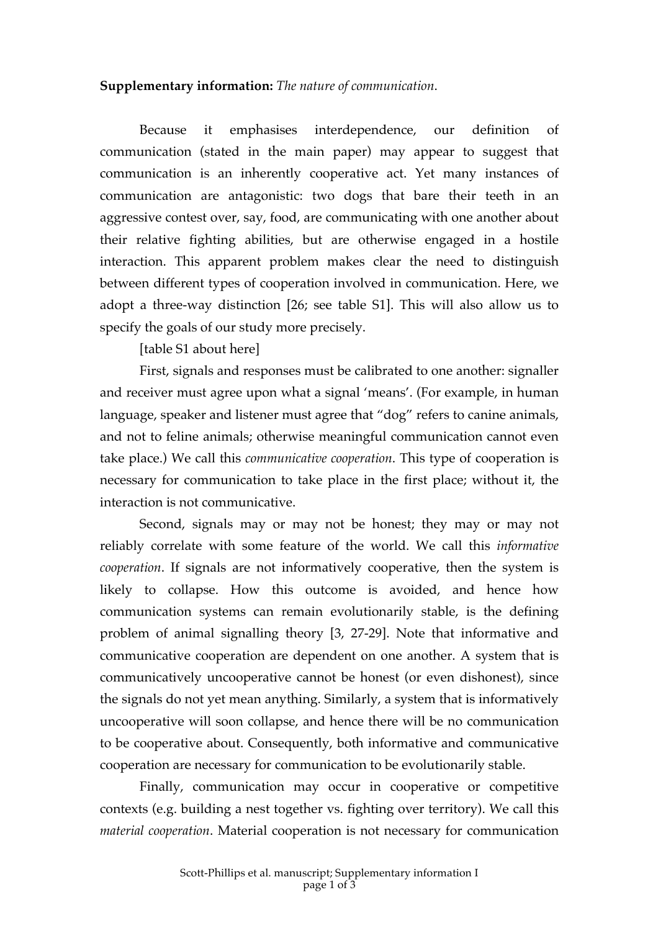# **Supplementary information:** *The nature of communication*.

Because it emphasises interdependence, our definition of communication (stated in the main paper) may appear to suggest that communication is an inherently cooperative act. Yet many instances of communication are antagonistic: two dogs that bare their teeth in an aggressive contest over, say, food, are communicating with one another about their relative fighting abilities, but are otherwise engaged in a hostile interaction. This apparent problem makes clear the need to distinguish between different types of cooperation involved in communication. Here, we adopt a three-way distinction [26; see table S1]. This will also allow us to specify the goals of our study more precisely.

[table S1 about here]

First, signals and responses must be calibrated to one another: signaller and receiver must agree upon what a signal 'means'. (For example, in human language, speaker and listener must agree that "dog" refers to canine animals, and not to feline animals; otherwise meaningful communication cannot even take place.) We call this *communicative cooperation*. This type of cooperation is necessary for communication to take place in the first place; without it, the interaction is not communicative.

Second, signals may or may not be honest; they may or may not reliably correlate with some feature of the world. We call this *informative cooperation*. If signals are not informatively cooperative, then the system is likely to collapse. How this outcome is avoided, and hence how communication systems can remain evolutionarily stable, is the defining problem of animal signalling theory [3, 27-29]. Note that informative and communicative cooperation are dependent on one another. A system that is communicatively uncooperative cannot be honest (or even dishonest), since the signals do not yet mean anything. Similarly, a system that is informatively uncooperative will soon collapse, and hence there will be no communication to be cooperative about. Consequently, both informative and communicative cooperation are necessary for communication to be evolutionarily stable.

Finally, communication may occur in cooperative or competitive contexts (e.g. building a nest together vs. fighting over territory). We call this *material cooperation*. Material cooperation is not necessary for communication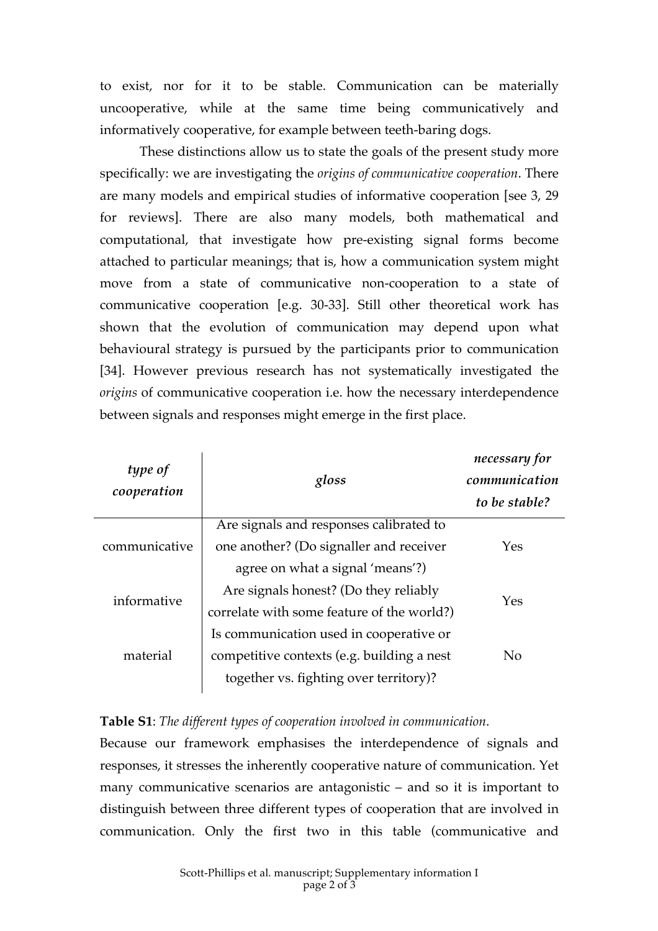to exist, nor for it to be stable. Communication can be materially uncooperative, while at the same time being communicatively and informatively cooperative, for example between teeth-baring dogs.

These distinctions allow us to state the goals of the present study more specifically: we are investigating the *origins of communicative cooperation*. There are many models and empirical studies of informative cooperation [see 3, 29 for reviews]. There are also many models, both mathematical and computational, that investigate how pre-existing signal forms become attached to particular meanings; that is, how a communication system might move from a state of communicative non-cooperation to a state of communicative cooperation [e.g. 30-33]. Still other theoretical work has shown that the evolution of communication may depend upon what behavioural strategy is pursued by the participants prior to communication [34]. However previous research has not systematically investigated the *origins* of communicative cooperation i.e. how the necessary interdependence between signals and responses might emerge in the first place.

| type of<br>cooperation | gloss                                      | necessary for<br>communication<br>to be stable? |
|------------------------|--------------------------------------------|-------------------------------------------------|
| communicative          | Are signals and responses calibrated to    | <b>Yes</b>                                      |
|                        | one another? (Do signaller and receiver    |                                                 |
|                        | agree on what a signal 'means'?)           |                                                 |
| informative            | Are signals honest? (Do they reliably      | Yes                                             |
|                        | correlate with some feature of the world?) |                                                 |
| material               | Is communication used in cooperative or    |                                                 |
|                        | competitive contexts (e.g. building a nest | N <sub>0</sub>                                  |
|                        | together vs. fighting over territory)?     |                                                 |

# **Table S1**: *The different types of cooperation involved in communication*.

Because our framework emphasises the interdependence of signals and responses, it stresses the inherently cooperative nature of communication. Yet many communicative scenarios are antagonistic – and so it is important to distinguish between three different types of cooperation that are involved in communication. Only the first two in this table (communicative and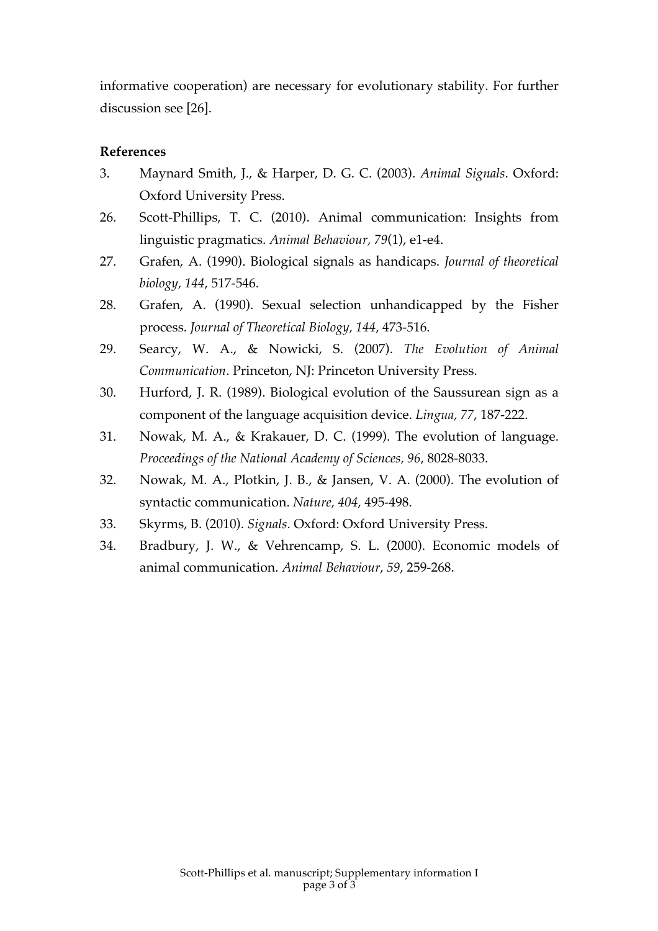informative cooperation) are necessary for evolutionary stability. For further discussion see [26].

# **References**

- 3. Maynard Smith, J., & Harper, D. G. C. (2003). *Animal Signals*. Oxford: Oxford University Press.
- 26. Scott-Phillips, T. C. (2010). Animal communication: Insights from linguistic pragmatics. *Animal Behaviour, 79*(1), e1-e4.
- 27. Grafen, A. (1990). Biological signals as handicaps. *Journal of theoretical biology, 144*, 517-546.
- 28. Grafen, A. (1990). Sexual selection unhandicapped by the Fisher process. *Journal of Theoretical Biology, 144*, 473-516.
- 29. Searcy, W. A., & Nowicki, S. (2007). *The Evolution of Animal Communication*. Princeton, NJ: Princeton University Press.
- 30. Hurford, J. R. (1989). Biological evolution of the Saussurean sign as a component of the language acquisition device. *Lingua, 77*, 187-222.
- 31. Nowak, M. A., & Krakauer, D. C. (1999). The evolution of language. *Proceedings of the National Academy of Sciences, 96*, 8028-8033.
- 32. Nowak, M. A., Plotkin, J. B., & Jansen, V. A. (2000). The evolution of syntactic communication. *Nature, 404*, 495-498.
- 33. Skyrms, B. (2010). *Signals*. Oxford: Oxford University Press.
- 34. Bradbury, J. W., & Vehrencamp, S. L. (2000). Economic models of animal communication. *Animal Behaviour*, *59*, 259-268.